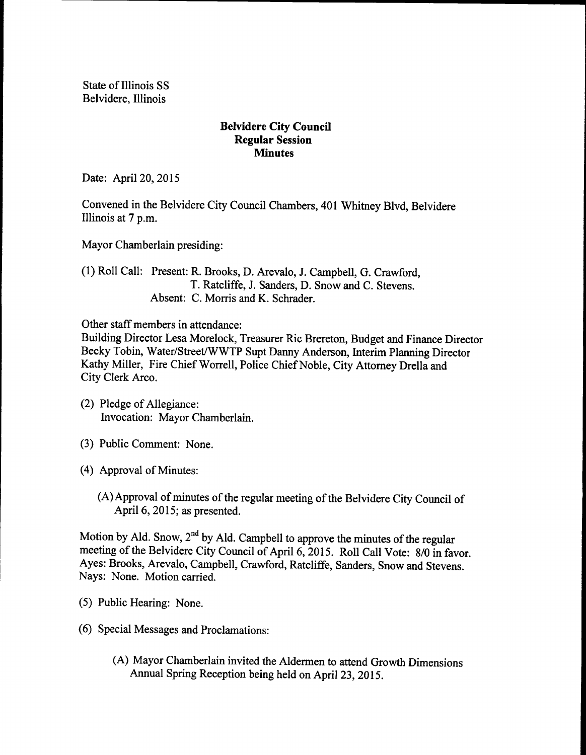State of Illinois SS Belvidere, Illinois

## Belvidere City Council Regular Session **Minutes**

Date: April 20, 2015

Convened in the Belvidere City Council Chambers, 401 Whitney Blvd, Belvidere Illinois at 7 p.m.

Mayor Chamberlain presiding:

1) Roll Call: Present: R. Brooks, D. Arevalo, J. Campbell, G. Crawford, T. Ratcliffe, J. Sanders, D. Snow and C. Stevens. Absent: C. Morris and K. Schrader.

Other staff members in attendance:

Building Director Lesa Morelock, Treasurer Ric Brereton, Budget and Finance Director Becky Tobin, Water/Street/WWTP Supt Danny Anderson, Interim Planning Director Kathy Miller, Fire Chief Worrell, Police Chief Noble, City Attorney Drella and City Clerk Arco.

- (2) Pledge of Allegiance: Invocation: Mayor Chamberlain.
- 3) Public Comment: None.
- (4) Approval of Minutes:
	- (A) Approval of minutes of the regular meeting of the Belvidere City Council of April 6, 2015; as presented.

Motion by Ald. Snow, 2<sup>nd</sup> by Ald. Campbell to approve the minutes of the regular meeting of the Belvidere City Council of April 6, 2015. Roll Call Vote: 8/0 in favor. Ayes: Brooks, Arevalo, Campbell, Crawford, Ratcliffe, Sanders, Snow and Stevens. Nays: None. Motion carried.

- 5) Public Hearing: None.
- 6) Special Messages and Proclamations:
	- A) Mayor Chamberlain invited the Aldermen to attend Growth Dimensions Annual Spring Reception being held on April 23, 2015.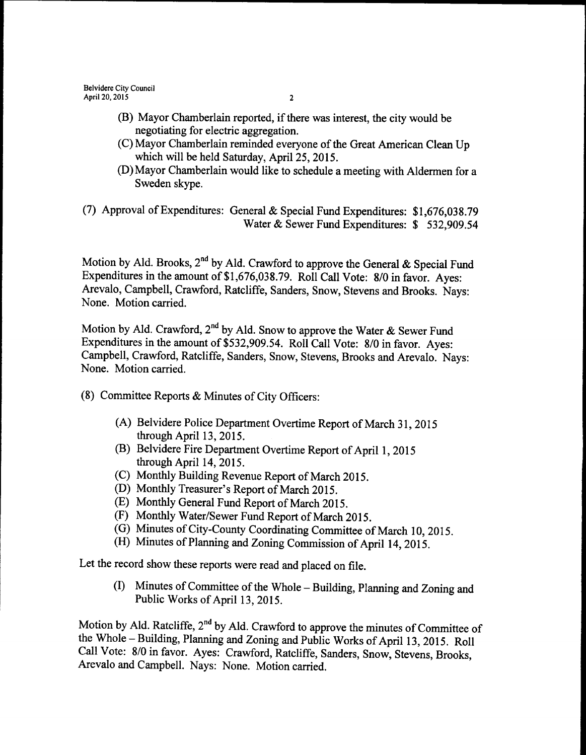- (B) Mayor Chamberlain reported, if there was interest, the city would be negotiating for electric aggregation.
- (C) Mayor Chamberlain reminded everyone of the Great American Clean Up which will be held Saturday, April 25, 2015.
- D) Mayor Chamberlain would like to schedule a meeting with Aldermen for a Sweden skype.
- (7) Approval of Expenditures: General & Special Fund Expenditures:  $$1,676,038.79$ Water & Sewer Fund Expenditures: \$ 532,909.54

Motion by Ald. Brooks, 2<sup>nd</sup> by Ald. Crawford to approve the General & Special Fund Expenditures in the amount of \$1,676,038.79. Roll Call Vote: 8/0 in favor. Ayes: Arevalo, Campbell, Crawford, Ratcliffe, Sanders, Snow, Stevens and Brooks. Nays: None. Motion carried.

Motion by Ald. Crawford, 2<sup>nd</sup> by Ald. Snow to approve the Water  $\&$  Sewer Fund Expenditures in the amount of \$532,909.54. Roll Call Vote: 8/0 in favor. Ayes: Campbell, Crawford, Ratcliffe, Sanders, Snow, Stevens, Brooks and Arevalo. Nays: None. Motion carried.

- 8) Committee Reports & Minutes of City Officers:
	- A) Belvidere Police Department Overtime Report of March 31, 2015 through April 13, 2015.
	- (B) Belvidere Fire Department Overtime Report of April 1, 2015 through April 14, 2015.
	- C) Monthly Building Revenue Report of March 2015.
	- (D) Monthly Treasurer's Report of March 2015.
	- E) Monthly General Fund Report of March 2015.
	- (F) Monthly Water/Sewer Fund Report of March 2015.
	- G) Minutes of City-County Coordinating Committee of March 10, 2015.
	- (H) Minutes of Planning and Zoning Commission of April 14, 2015.

Let the record show these reports were read and placed on file.

(I) Minutes of Committee of the Whole – Building, Planning and Zoning and Public Works of April 13, 2015.

Motion by Ald. Ratcliffe,  $2<sup>nd</sup>$  by Ald. Crawford to approve the minutes of Committee of the Whole – Building, Planning and Zoning and Public Works of April 13, 2015. Roll Call Vote: 8/0 in favor. Ayes: Crawford, Ratcliffe, Sanders, Snow, Stevens, Brooks, Arevalo and Campbell. Nays: None. Motion carried.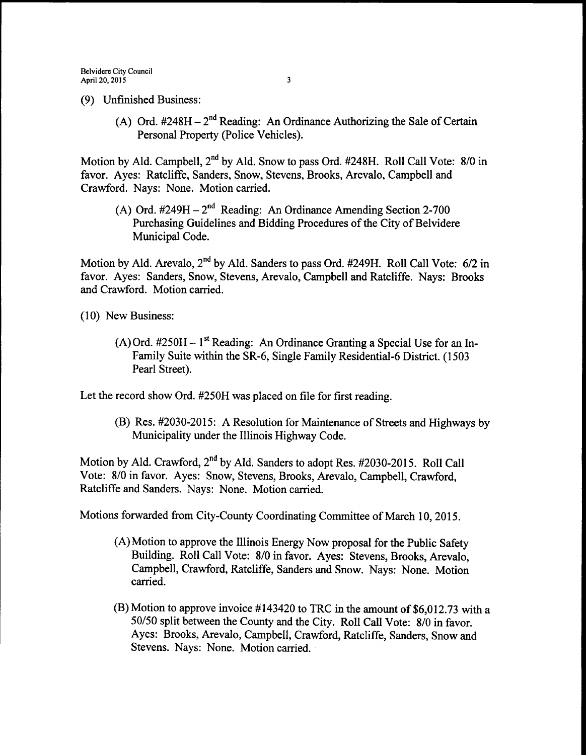- 9) Unfinished Business:
	- (A) Ord.  $#248H 2^{nd}$  Reading: An Ordinance Authorizing the Sale of Certain Personal Property (Police Vehicles).

Motion by Ald. Campbell, 2<sup>nd</sup> by Ald. Snow to pass Ord. #248H. Roll Call Vote: 8/0 in favor. Ayes: Ratcliffe, Sanders, Snow, Stevens, Brooks, Arevalo, Campbell and Crawford. Nays: None. Motion carried.

A) Ord.  $\#249H - 2^{nd}$  Reading: An Ordinance Amending Section 2-700 Purchasing Guidelines and Bidding Procedures of the City of Belvidere Municipal Code.

Motion by Ald. Arevalo, 2<sup>nd</sup> by Ald. Sanders to pass Ord. #249H. Roll Call Vote: 6/2 in favor. Ayes: Sanders, Snow, Stevens, Arevalo, Campbell and Ratcliffe. Nays: Brooks and Crawford. Motion carried.

10) New Business:

 $(A)$  Ord. #250H – 1<sup>st</sup> Reading: An Ordinance Granting a Special Use for an In-Family Suite within the SR-6, Single Family Residential -6 District. (1503) Pearl Street).

Let the record show Ord. #250H was placed on file for first reading.

(B) Res. #2030-2015: A Resolution for Maintenance of Streets and Highways by Municipality under the Illinois Highway Code.

Motion by Ald. Crawford, 2<sup>nd</sup> by Ald. Sanders to adopt Res. #2030-2015. Roll Call Vote: 8/0 in favor. Ayes: Snow, Stevens, Brooks, Arevalo, Campbell, Crawford, Ratcliffe and Sanders. Nays: None. Motion carried.

Motions forwarded from City-County Coordinating Committee of March 10, 2015.

- A) Motion to approve the Illinois Energy Now proposal for the Public Safety Building. Roll Call Vote: 8/0 in favor. Ayes: Stevens, Brooks, Arevalo, Campbell, Crawford, Ratcliffe, Sanders and Snow. Nays: None. Motion carried.
- $(B)$  Motion to approve invoice #143420 to TRC in the amount of \$6,012.73 with a 50/50 split between the County and the City. Roll Call Vote: 8/0 in favor. Ayes: Brooks, Arevalo, Campbell, Crawford, Ratcliffe, Sanders, Snow and Stevens. Nays: None. Motion carried.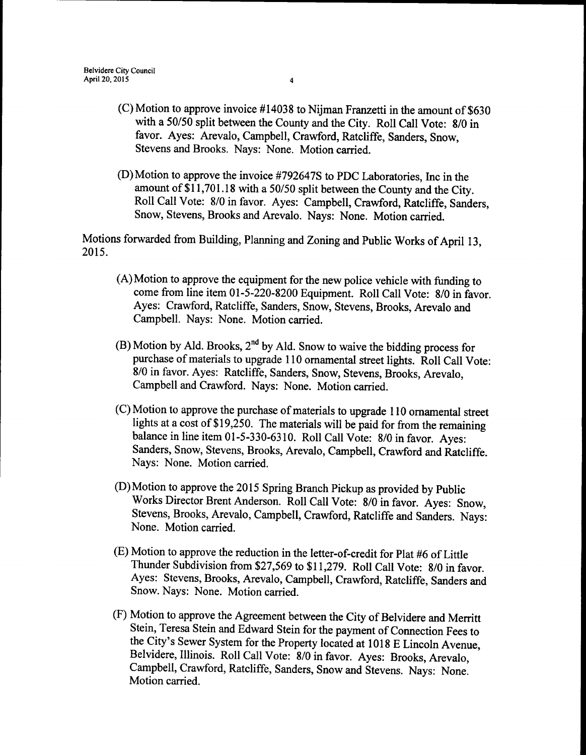- $(C)$  Motion to approve invoice #14038 to Nijman Franzetti in the amount of \$630 with a 50/50 split between the County and the City. Roll Call Vote: 8/0 in favor. Ayes: Arevalo, Campbell, Crawford, Ratcliffe, Sanders, Snow, Stevens and Brooks. Nays: None. Motion carried.
- D) Motion to approve the invoice 4792647S to PDC Laboratories, Inc in the amount of \$11,701.18 with a 50/50 split between the County and the City. Roll Call Vote: 8/0 in favor. Ayes: Campbell, Crawford, Ratcliffe, Sanders, Snow, Stevens, Brooks and Arevalo. Nays: None. Motion carried.

Motions forwarded from Building, Planning and Zoning and Public Works of April 13, 2015.

- A) Motion to approve the equipment for the new police vehicle with funding to come from line item 01-5-220-8200 Equipment. Roll Call Vote: 8/0 in favor. Ayes: Crawford, Ratcliffe, Sanders, Snow, Stevens, Brooks, Arevalo and Campbell. Nays: None. Motion carried.
- B) Motion by Ald. Brooks,  $2<sup>nd</sup>$  by Ald. Snow to waive the bidding process for purchase of materials to upgrade 110 ornamental street lights. Roll Call Vote: 8/0 in favor. Ayes: Ratcliffe, Sanders, Snow, Stevens, Brooks, Arevalo, Campbell and Crawford. Nays: None. Motion carried.
- C) Motion to approve the purchase of materials to upgrade 110 ornamental street lights at a cost of \$19,250. The materials will be paid for from the remaining balance in line item 01-5-330-6310. Roll Call Vote: 8/0 in favor. Ayes: Sanders, Snow, Stevens, Brooks, Arevalo, Campbell, Crawford and Ratcliffe. Nays: None. Motion carried.
- D) Motion to approve the 2015 Spring Branch Pickup as provided by Public Works Director Brent Anderson. Roll Call Vote: 8/0 in favor. Ayes: Snow, Stevens, Brooks, Arevalo, Campbell, Crawford, Ratcliffe and Sanders. Nays: None. Motion carried.
- E) Motion to approve the reduction in the letter-of-credit for Plat 46 of Little Thunder Subdivision from \$27,569 to \$11,279. Roll Call Vote: 8/0 in favor. Ayes: Stevens, Brooks, Arevalo, Campbell, Crawford, Ratcliffe, Sanders and Snow. Nays: None. Motion carried.
- (F) Motion to approve the Agreement between the City of Belvidere and Merritt Stein, Teresa Stein and Edward Stein for the payment of Connection Fees to the City's Sewer System for the Property located at 1018 E Lincoln Avenue, Belvidere, Illinois. Roll Call Vote: 8/0 in favor. Ayes: Brooks, Arevalo, Campbell, Crawford, Ratcliffe, Sanders, Snow and Stevens. Nays: None. Motion carried.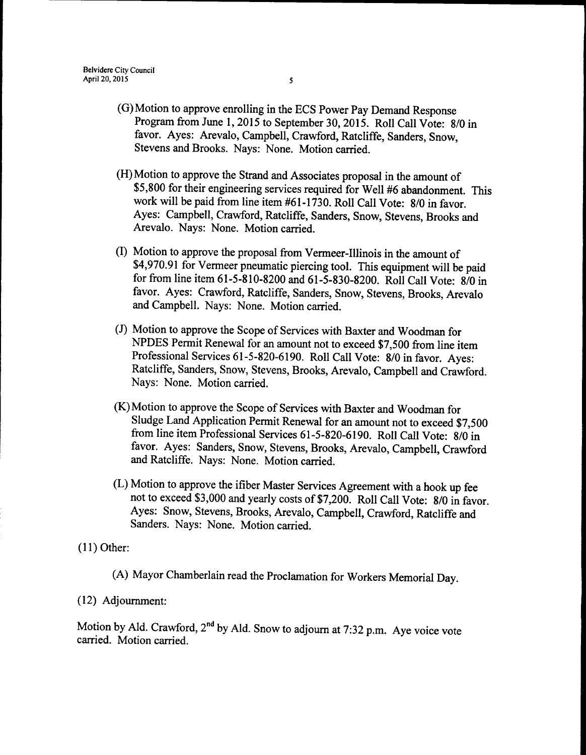- G) Motion to approve enrolling in the ECS Power Pay Demand Response Program from June 1, 2015 to September 30, 2015. Roll Call Vote: 8/0 in favor. Ayes: Arevalo, Campbell, Crawford, Ratcliffe, Sanders, Snow, Stevens and Brooks. Nays: None. Motion carried.
- H) Motion to approve the Strand and Associates proposal in the amount of 5, 800 for their engineering services required for Well 46 abandonment. This work will be paid from line item #61-1730. Roll Call Vote: 8/0 in favor. Ayes: Campbell, Crawford, Ratcliffe, Sanders, Snow, Stevens, Brooks and Arevalo. Nays: None. Motion carried.
- I) Motion to approve the proposal from Vermeer-Illinois in the amount of 4,970.91 for Vermeer pneumatic piercing tool. This equipment will be paid for from line item 61-5-810-8200 and 61-5-830-8200. Roll Call Vote: 8/0 in favor. Ayes: Crawford, Ratcliffe, Sanders, Snow, Stevens, Brooks, Arevalo and Campbell. Nays: None. Motion carried.
- J) Motion to approve the Scope of Services with Baxter and Woodman for NPDES Permit Renewal for an amount not to exceed \$7,500 from line item Professional Services 61-5-820-6190. Roll Call Vote: 8/0 in favor. Ayes: Ratcliffe, Sanders, Snow, Stevens, Brooks, Arevalo, Campbell and Crawford. Nays: None. Motion carried.
- K) Motion to approve the Scope of Services with Baxter and Woodman for Sludge Land Application Permit Renewal for an amount not to exceed \$7,500 from line item Professional Services 61-5-820-6190. Roll Call Vote: 8/0 in favor. Ayes: Sanders, Snow, Stevens, Brooks, Arevalo, Campbell, Crawford and Ratcliffe. Nays: None. Motion carried.
- L) Motion to approve the ifiber Master Services Agreement with a hook up fee not to exceed \$3,000 and yearly costs of \$7,200. Roll Call Vote: 8/0 in favor. Ayes: Snow, Stevens, Brooks, Arevalo, Campbell, Crawford, Ratcliffe and Sanders. Nays: None. Motion carried.

11) Other:

A) Mayor Chamberlain read the Proclamation for Workers Memorial Day.

12) Adjournment:

Motion by Ald. Crawford, 2<sup>nd</sup> by Ald. Snow to adjourn at 7:32 p.m. Aye voice vote carried. Motion carried.